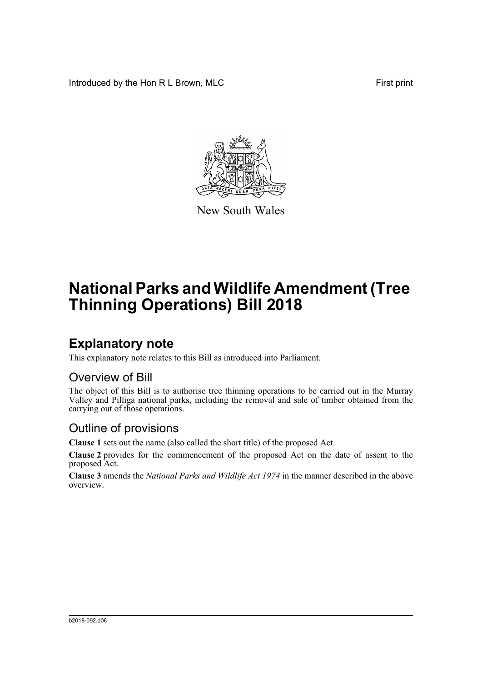Introduced by the Hon R L Brown, MLC First print



New South Wales

# **National Parks and Wildlife Amendment (Tree Thinning Operations) Bill 2018**

### **Explanatory note**

This explanatory note relates to this Bill as introduced into Parliament.

#### Overview of Bill

The object of this Bill is to authorise tree thinning operations to be carried out in the Murray Valley and Pilliga national parks, including the removal and sale of timber obtained from the carrying out of those operations.

#### Outline of provisions

**Clause 1** sets out the name (also called the short title) of the proposed Act.

**Clause 2** provides for the commencement of the proposed Act on the date of assent to the proposed Act.

**Clause 3** amends the *National Parks and Wildlife Act 1974* in the manner described in the above overview.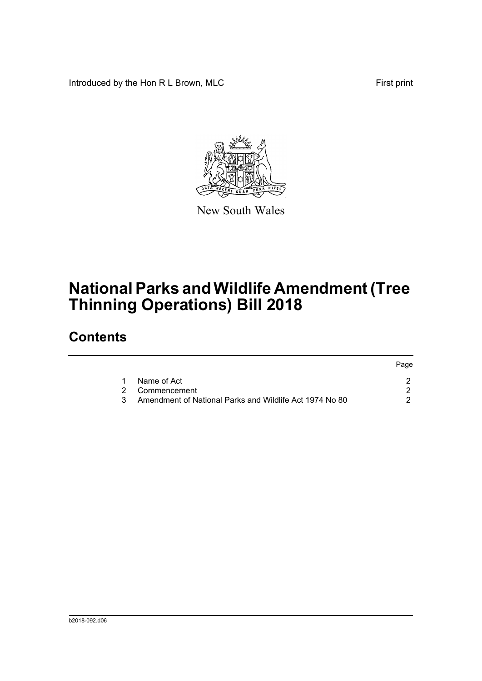Introduced by the Hon R L Brown, MLC First print



New South Wales

# **National Parks and Wildlife Amendment (Tree Thinning Operations) Bill 2018**

## **Contents**

|               |                                                         | Page |
|---------------|---------------------------------------------------------|------|
| 1.            | Name of Act                                             |      |
|               | 2 Commencement                                          |      |
| $\mathcal{R}$ | Amendment of National Parks and Wildlife Act 1974 No 80 |      |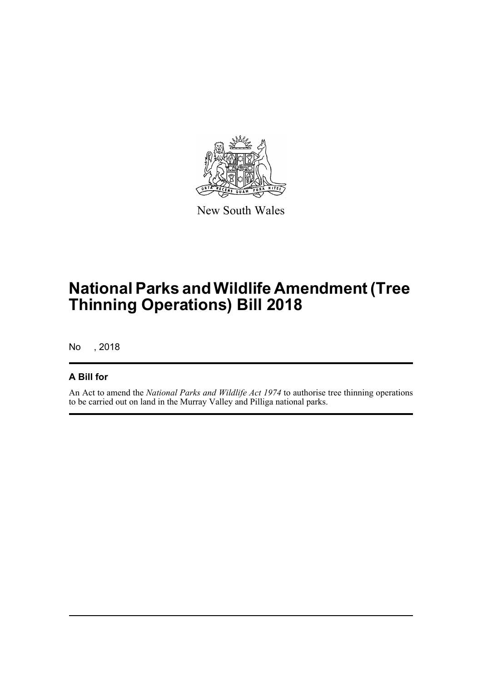

New South Wales

## **National Parks and Wildlife Amendment (Tree Thinning Operations) Bill 2018**

No , 2018

#### **A Bill for**

An Act to amend the *National Parks and Wildlife Act 1974* to authorise tree thinning operations to be carried out on land in the Murray Valley and Pilliga national parks.